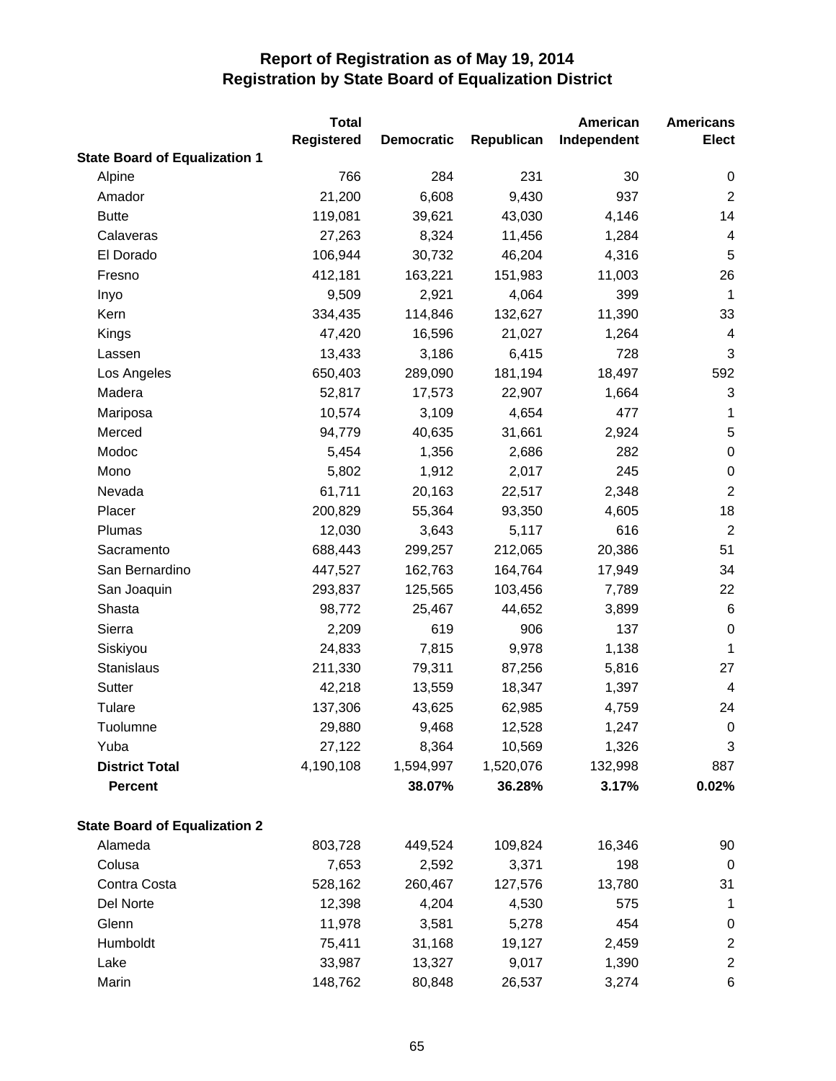|                                      | <b>Total</b>      |                   |            | American    | <b>Americans</b>        |
|--------------------------------------|-------------------|-------------------|------------|-------------|-------------------------|
|                                      | <b>Registered</b> | <b>Democratic</b> | Republican | Independent | <b>Elect</b>            |
| <b>State Board of Equalization 1</b> |                   |                   |            |             |                         |
| Alpine                               | 766               | 284               | 231        | 30          | 0                       |
| Amador                               | 21,200            | 6,608             | 9,430      | 937         | $\overline{2}$          |
| <b>Butte</b>                         | 119,081           | 39,621            | 43,030     | 4,146       | 14                      |
| Calaveras                            | 27,263            | 8,324             | 11,456     | 1,284       | 4                       |
| El Dorado                            | 106,944           | 30,732            | 46,204     | 4,316       | 5                       |
| Fresno                               | 412,181           | 163,221           | 151,983    | 11,003      | 26                      |
| Inyo                                 | 9,509             | 2,921             | 4,064      | 399         | $\mathbf{1}$            |
| Kern                                 | 334,435           | 114,846           | 132,627    | 11,390      | 33                      |
| Kings                                | 47,420            | 16,596            | 21,027     | 1,264       | $\overline{\mathbf{4}}$ |
| Lassen                               | 13,433            | 3,186             | 6,415      | 728         | 3                       |
| Los Angeles                          | 650,403           | 289,090           | 181,194    | 18,497      | 592                     |
| Madera                               | 52,817            | 17,573            | 22,907     | 1,664       | 3                       |
| Mariposa                             | 10,574            | 3,109             | 4,654      | 477         | 1                       |
| Merced                               | 94,779            | 40,635            | 31,661     | 2,924       | 5                       |
| Modoc                                | 5,454             | 1,356             | 2,686      | 282         | $\pmb{0}$               |
| Mono                                 | 5,802             | 1,912             | 2,017      | 245         | $\pmb{0}$               |
| Nevada                               | 61,711            | 20,163            | 22,517     | 2,348       | $\boldsymbol{2}$        |
| Placer                               | 200,829           | 55,364            | 93,350     | 4,605       | 18                      |
| Plumas                               | 12,030            | 3,643             | 5,117      | 616         | $\overline{2}$          |
| Sacramento                           | 688,443           | 299,257           | 212,065    | 20,386      | 51                      |
| San Bernardino                       | 447,527           | 162,763           | 164,764    | 17,949      | 34                      |
| San Joaquin                          | 293,837           | 125,565           | 103,456    | 7,789       | 22                      |
| Shasta                               | 98,772            | 25,467            | 44,652     | 3,899       | $\,6$                   |
| Sierra                               | 2,209             | 619               | 906        | 137         | $\mathbf 0$             |
| Siskiyou                             | 24,833            | 7,815             | 9,978      | 1,138       | 1                       |
| Stanislaus                           | 211,330           | 79,311            | 87,256     | 5,816       | 27                      |
| Sutter                               | 42,218            | 13,559            | 18,347     | 1,397       | $\overline{\mathbf{4}}$ |
| Tulare                               | 137,306           | 43,625            | 62,985     | 4,759       | 24                      |
| Tuolumne                             | 29,880            | 9,468             | 12,528     | 1,247       | $\mathbf 0$             |
| Yuba                                 | 27,122            | 8,364             | 10,569     | 1,326       | 3                       |
| <b>District Total</b>                | 4,190,108         | 1,594,997         | 1,520,076  | 132,998     | 887                     |
| <b>Percent</b>                       |                   | 38.07%            | 36.28%     | 3.17%       | 0.02%                   |
| <b>State Board of Equalization 2</b> |                   |                   |            |             |                         |
| Alameda                              | 803,728           | 449,524           | 109,824    | 16,346      | 90                      |
| Colusa                               | 7,653             | 2,592             | 3,371      | 198         | $\mathbf 0$             |
| Contra Costa                         | 528,162           | 260,467           | 127,576    | 13,780      | 31                      |
| Del Norte                            | 12,398            | 4,204             | 4,530      | 575         | 1                       |
| Glenn                                | 11,978            | 3,581             | 5,278      | 454         | $\boldsymbol{0}$        |
| Humboldt                             | 75,411            | 31,168            | 19,127     | 2,459       | $\mathbf{2}$            |
| Lake                                 | 33,987            | 13,327            | 9,017      | 1,390       | $\mathbf 2$             |
| Marin                                | 148,762           | 80,848            | 26,537     | 3,274       | 6                       |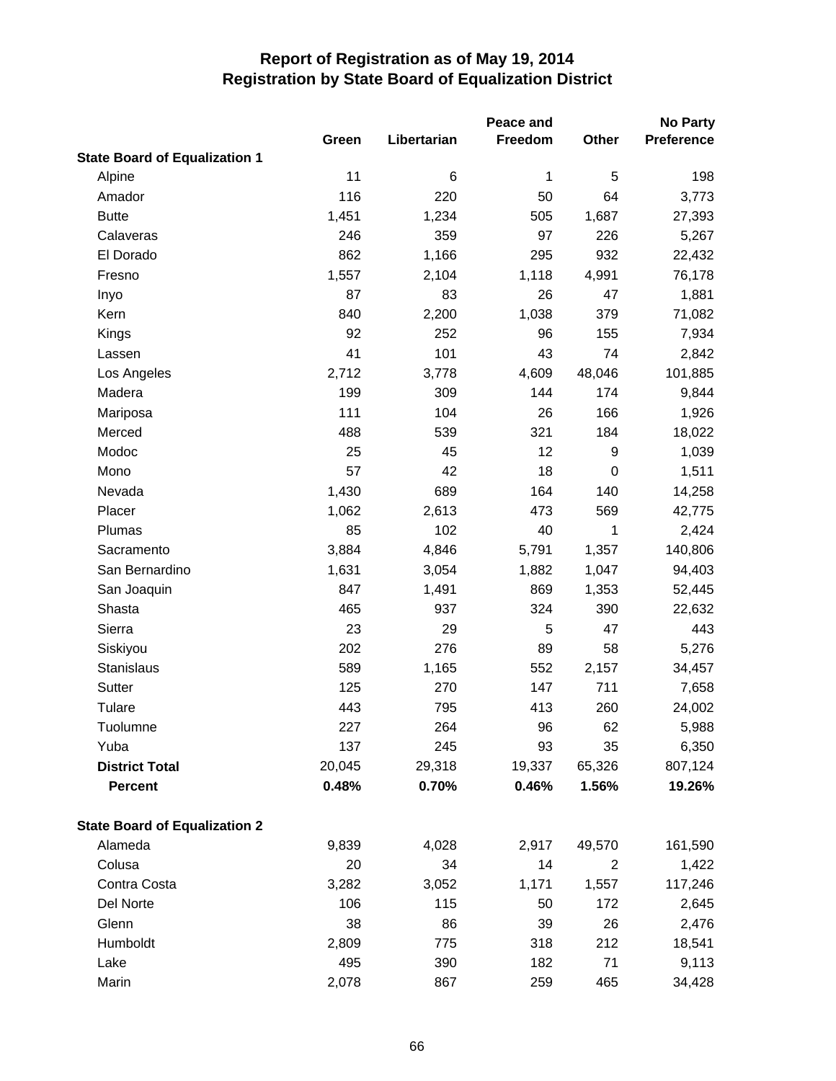| <b>State Board of Equalization 1</b><br>11<br>Alpine<br>6<br>1<br>5 | 198<br>3,773 |
|---------------------------------------------------------------------|--------------|
|                                                                     |              |
|                                                                     |              |
| 116<br>220<br>64<br>Amador<br>50                                    |              |
| 1,234<br><b>Butte</b><br>1,451<br>505<br>1,687                      | 27,393       |
| 97<br>359<br>226<br>Calaveras<br>246                                | 5,267        |
| El Dorado<br>932<br>862<br>1,166<br>295                             | 22,432       |
| Fresno<br>1,557<br>2,104<br>1,118<br>4,991                          | 76,178       |
| 87<br>83<br>26<br>47<br>Inyo                                        | 1,881        |
| 840<br>1,038<br>Kern<br>2,200<br>379                                | 71,082       |
| 92<br>252<br>155<br>Kings<br>96                                     | 7,934        |
| 41<br>101<br>43<br>74<br>Lassen                                     | 2,842        |
| Los Angeles<br>2,712<br>3,778<br>4,609<br>48,046                    | 101,885      |
| 199<br>144<br>174<br>Madera<br>309                                  | 9,844        |
| 111<br>104<br>26<br>166<br>Mariposa                                 | 1,926        |
| 488<br>539<br>321<br>184<br>Merced                                  | 18,022       |
| Modoc<br>25<br>45<br>12<br>9                                        | 1,039        |
| 57<br>42<br>18<br>Mono<br>0                                         | 1,511        |
| 1,430<br>164<br>140<br>Nevada<br>689                                | 14,258       |
| 2,613<br>569<br>Placer<br>1,062<br>473                              | 42,775       |
| 85<br>102<br>1<br>Plumas<br>40                                      | 2,424        |
| 3,884<br>4,846<br>5,791<br>1,357<br>Sacramento                      | 140,806      |
| San Bernardino<br>1,631<br>3,054<br>1,882<br>1,047                  | 94,403       |
| 1,491<br>869<br>San Joaquin<br>847<br>1,353                         | 52,445       |
| 465<br>324<br>390<br>Shasta<br>937                                  | 22,632       |
| Sierra<br>23<br>29<br>5<br>47                                       | 443          |
| 276<br>58<br>Siskiyou<br>202<br>89                                  | 5,276        |
| Stanislaus<br>589<br>1,165<br>552<br>2,157                          | 34,457       |
| 125<br>711<br>Sutter<br>270<br>147                                  | 7,658        |
| 443<br>Tulare<br>795<br>413<br>260                                  | 24,002       |
| Tuolumne<br>62<br>227<br>264<br>96                                  | 5,988        |
| Yuba<br>137<br>35<br>245<br>93                                      | 6,350        |
| <b>District Total</b><br>20,045<br>29,318<br>19,337<br>65,326       | 807,124      |
| 0.48%<br><b>Percent</b><br>0.70%<br>0.46%<br>1.56%                  | 19.26%       |
| <b>State Board of Equalization 2</b>                                |              |
| Alameda<br>9,839<br>4,028<br>2,917<br>49,570                        | 161,590      |
| Colusa<br>20<br>34<br>14<br>$\overline{c}$                          | 1,422        |
| Contra Costa<br>3,282<br>3,052<br>1,557<br>1,171                    | 117,246      |
| Del Norte<br>106<br>115<br>172<br>50                                | 2,645        |
| Glenn<br>38<br>86<br>39<br>26                                       | 2,476        |
| Humboldt<br>2,809<br>775<br>318<br>212                              | 18,541       |
| Lake<br>495<br>390<br>182<br>71                                     | 9,113        |
| Marin<br>2,078<br>867<br>259<br>465                                 | 34,428       |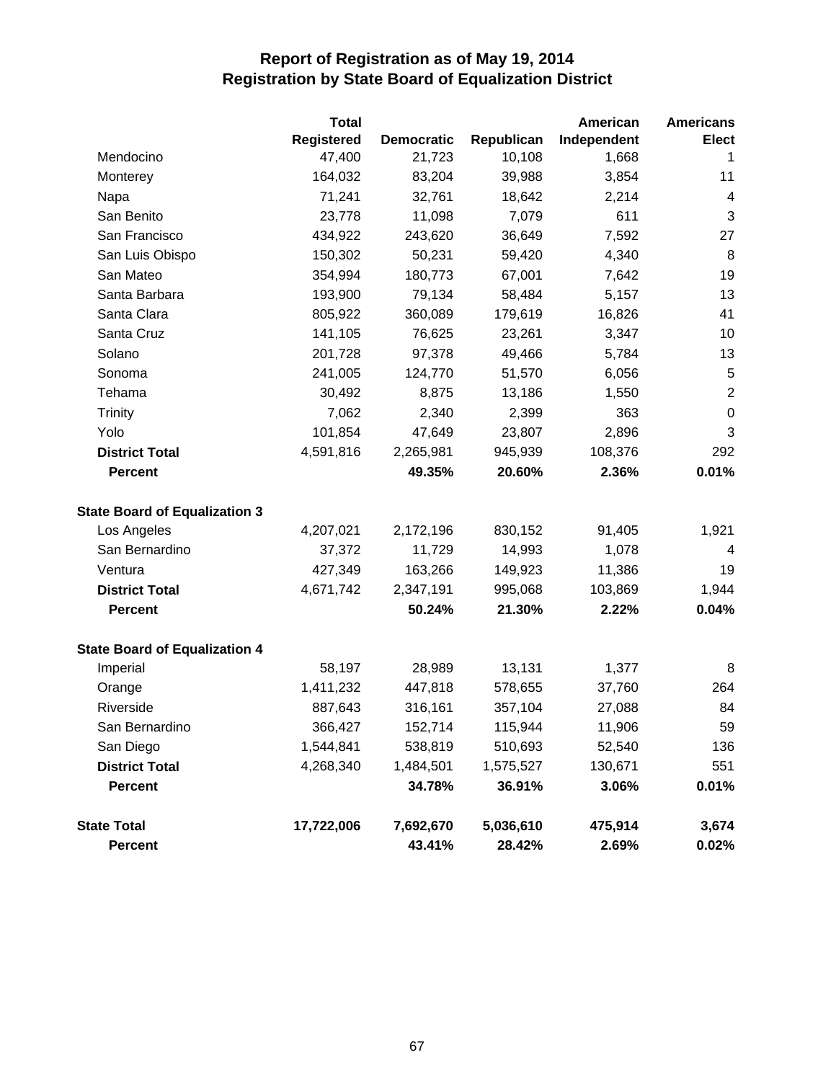|                                      | <b>Total</b>      |                   |            | American    | <b>Americans</b>        |
|--------------------------------------|-------------------|-------------------|------------|-------------|-------------------------|
|                                      | <b>Registered</b> | <b>Democratic</b> | Republican | Independent | <b>Elect</b>            |
| Mendocino                            | 47,400            | 21,723            | 10,108     | 1,668       | 1                       |
| Monterey                             | 164,032           | 83,204            | 39,988     | 3,854       | 11                      |
| Napa                                 | 71,241            | 32,761            | 18,642     | 2,214       | $\overline{\mathbf{4}}$ |
| San Benito                           | 23,778            | 11,098            | 7,079      | 611         | 3                       |
| San Francisco                        | 434,922           | 243,620           | 36,649     | 7,592       | 27                      |
| San Luis Obispo                      | 150,302           | 50,231            | 59,420     | 4,340       | 8                       |
| San Mateo                            | 354,994           | 180,773           | 67,001     | 7,642       | 19                      |
| Santa Barbara                        | 193,900           | 79,134            | 58,484     | 5,157       | 13                      |
| Santa Clara                          | 805,922           | 360,089           | 179,619    | 16,826      | 41                      |
| Santa Cruz                           | 141,105           | 76,625            | 23,261     | 3,347       | 10                      |
| Solano                               | 201,728           | 97,378            | 49,466     | 5,784       | 13                      |
| Sonoma                               | 241,005           | 124,770           | 51,570     | 6,056       | $\sqrt{5}$              |
| Tehama                               | 30,492            | 8,875             | 13,186     | 1,550       | $\overline{2}$          |
| Trinity                              | 7,062             | 2,340             | 2,399      | 363         | $\mathbf 0$             |
| Yolo                                 | 101,854           | 47,649            | 23,807     | 2,896       | $\sqrt{3}$              |
| <b>District Total</b>                | 4,591,816         | 2,265,981         | 945,939    | 108,376     | 292                     |
| <b>Percent</b>                       |                   | 49.35%            | 20.60%     | 2.36%       | 0.01%                   |
| <b>State Board of Equalization 3</b> |                   |                   |            |             |                         |
| Los Angeles                          | 4,207,021         | 2,172,196         | 830,152    | 91,405      | 1,921                   |
| San Bernardino                       | 37,372            | 11,729            | 14,993     | 1,078       | $\overline{4}$          |
| Ventura                              | 427,349           | 163,266           | 149,923    | 11,386      | 19                      |
| <b>District Total</b>                | 4,671,742         | 2,347,191         | 995,068    | 103,869     | 1,944                   |
| <b>Percent</b>                       |                   | 50.24%            | 21.30%     | 2.22%       | 0.04%                   |
| <b>State Board of Equalization 4</b> |                   |                   |            |             |                         |
| Imperial                             | 58,197            | 28,989            | 13,131     | 1,377       | 8                       |
| Orange                               | 1,411,232         | 447,818           | 578,655    | 37,760      | 264                     |
| Riverside                            | 887,643           | 316,161           | 357,104    | 27,088      | 84                      |
| San Bernardino                       | 366,427           | 152,714           | 115,944    | 11,906      | 59                      |
| San Diego                            | 1,544,841         | 538,819           | 510,693    | 52,540      | 136                     |
| <b>District Total</b>                | 4,268,340         | 1,484,501         | 1,575,527  | 130,671     | 551                     |
| <b>Percent</b>                       |                   | 34.78%            | 36.91%     | 3.06%       | 0.01%                   |
| <b>State Total</b>                   | 17,722,006        | 7,692,670         | 5,036,610  | 475,914     | 3,674                   |
| <b>Percent</b>                       |                   | 43.41%            | 28.42%     | 2.69%       | $0.02\%$                |